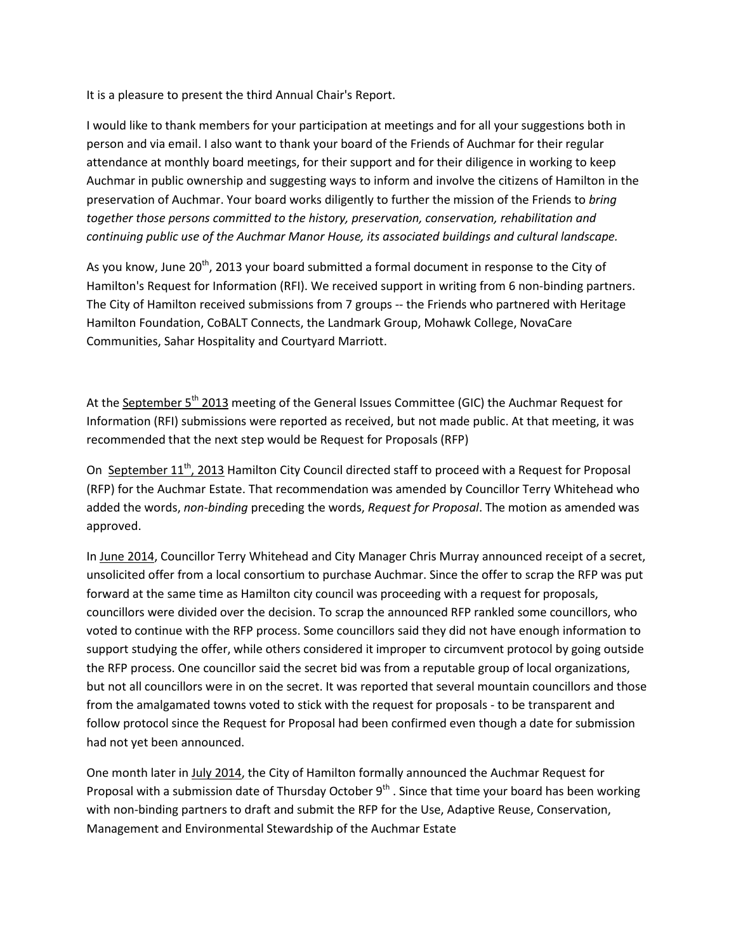It is a pleasure to present the third Annual Chair's Report.

I would like to thank members for your participation at meetings and for all your suggestions both in person and via email. I also want to thank your board of the Friends of Auchmar for their regular attendance at monthly board meetings, for their support and for their diligence in working to keep Auchmar in public ownership and suggesting ways to inform and involve the citizens of Hamilton in the preservation of Auchmar. Your board works diligently to further the mission of the Friends to *bring together those persons committed to the history, preservation, conservation, rehabilitation and continuing public use of the Auchmar Manor House, its associated buildings and cultural landscape.*

As you know, June 20<sup>th</sup>, 2013 your board submitted a formal document in response to the City of Hamilton's Request for Information (RFI). We received support in writing from 6 non-binding partners. The City of Hamilton received submissions from 7 groups -- the Friends who partnered with Heritage Hamilton Foundation, CoBALT Connects, the Landmark Group, Mohawk College, NovaCare Communities, Sahar Hospitality and Courtyard Marriott.

At the September 5<sup>th</sup> 2013 meeting of the General Issues Committee (GIC) the Auchmar Request for Information (RFI) submissions were reported as received, but not made public. At that meeting, it was recommended that the next step would be Request for Proposals (RFP)

On September 11<sup>th</sup>, 2013 Hamilton City Council directed staff to proceed with a Request for Proposal (RFP) for the Auchmar Estate. That recommendation was amended by Councillor Terry Whitehead who added the words, *non-binding* preceding the words, *Request for Proposal*. The motion as amended was approved.

In June 2014, Councillor Terry Whitehead and City Manager Chris Murray announced receipt of a secret, unsolicited offer from a local consortium to purchase Auchmar. Since the offer to scrap the RFP was put forward at the same time as Hamilton city council was proceeding with a request for proposals, councillors were divided over the decision. To scrap the announced RFP rankled some councillors, who voted to continue with the RFP process. Some councillors said they did not have enough information to support studying the offer, while others considered it improper to circumvent protocol by going outside the RFP process. One councillor said the secret bid was from a reputable group of local organizations, but not all councillors were in on the secret. It was reported that several mountain councillors and those from the amalgamated towns voted to stick with the request for proposals - to be transparent and follow protocol since the Request for Proposal had been confirmed even though a date for submission had not yet been announced.

One month later in July 2014, the City of Hamilton formally announced the Auchmar Request for Proposal with a submission date of Thursday October  $9<sup>th</sup>$ . Since that time your board has been working with non-binding partners to draft and submit the RFP for the Use, Adaptive Reuse, Conservation, Management and Environmental Stewardship of the Auchmar Estate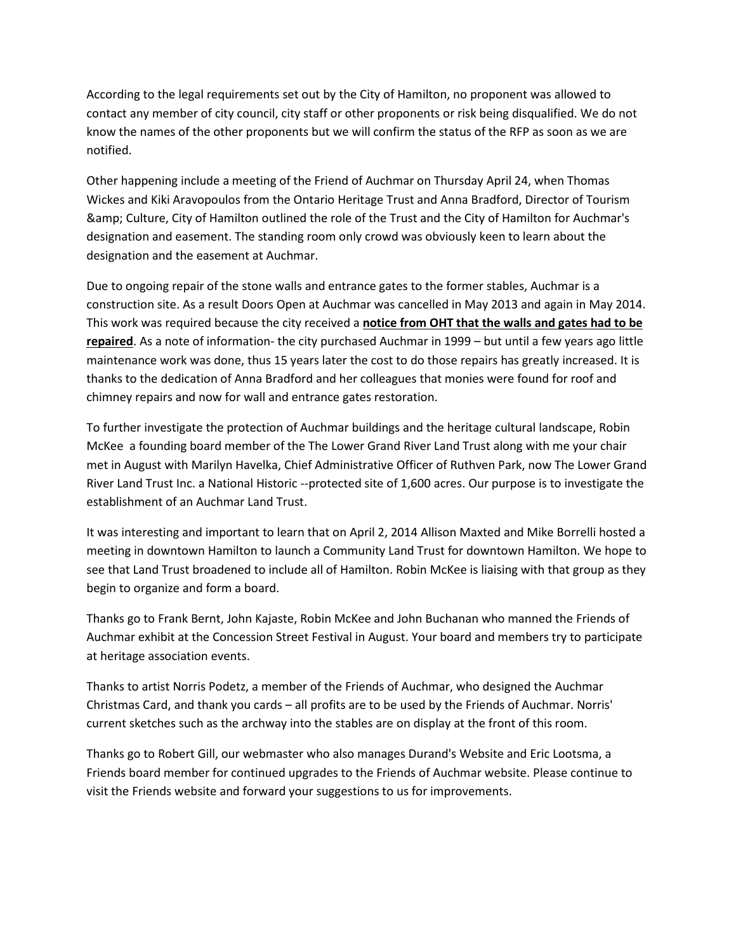According to the legal requirements set out by the City of Hamilton, no proponent was allowed to contact any member of city council, city staff or other proponents or risk being disqualified. We do not know the names of the other proponents but we will confirm the status of the RFP as soon as we are notified.

Other happening include a meeting of the Friend of Auchmar on Thursday April 24, when Thomas Wickes and Kiki Aravopoulos from the Ontario Heritage Trust and Anna Bradford, Director of Tourism & Culture, City of Hamilton outlined the role of the Trust and the City of Hamilton for Auchmar's designation and easement. The standing room only crowd was obviously keen to learn about the designation and the easement at Auchmar.

Due to ongoing repair of the stone walls and entrance gates to the former stables, Auchmar is a construction site. As a result Doors Open at Auchmar was cancelled in May 2013 and again in May 2014. This work was required because the city received a **notice from OHT that the walls and gates had to be repaired**. As a note of information- the city purchased Auchmar in 1999 – but until a few years ago little maintenance work was done, thus 15 years later the cost to do those repairs has greatly increased. It is thanks to the dedication of Anna Bradford and her colleagues that monies were found for roof and chimney repairs and now for wall and entrance gates restoration.

To further investigate the protection of Auchmar buildings and the heritage cultural landscape, Robin McKee a founding board member of the The Lower Grand River Land Trust along with me your chair met in August with Marilyn Havelka, Chief Administrative Officer of Ruthven Park, now The Lower Grand River Land Trust Inc. a National Historic --protected site of 1,600 acres. Our purpose is to investigate the establishment of an Auchmar Land Trust.

It was interesting and important to learn that on April 2, 2014 Allison Maxted and Mike Borrelli hosted a meeting in downtown Hamilton to launch a Community Land Trust for downtown Hamilton. We hope to see that Land Trust broadened to include all of Hamilton. Robin McKee is liaising with that group as they begin to organize and form a board.

Thanks go to Frank Bernt, John Kajaste, Robin McKee and John Buchanan who manned the Friends of Auchmar exhibit at the Concession Street Festival in August. Your board and members try to participate at heritage association events.

Thanks to artist Norris Podetz, a member of the Friends of Auchmar, who designed the Auchmar Christmas Card, and thank you cards – all profits are to be used by the Friends of Auchmar. Norris' current sketches such as the archway into the stables are on display at the front of this room.

Thanks go to Robert Gill, our webmaster who also manages Durand's Website and Eric Lootsma, a Friends board member for continued upgrades to the Friends of Auchmar website. Please continue to visit the Friends website and forward your suggestions to us for improvements.